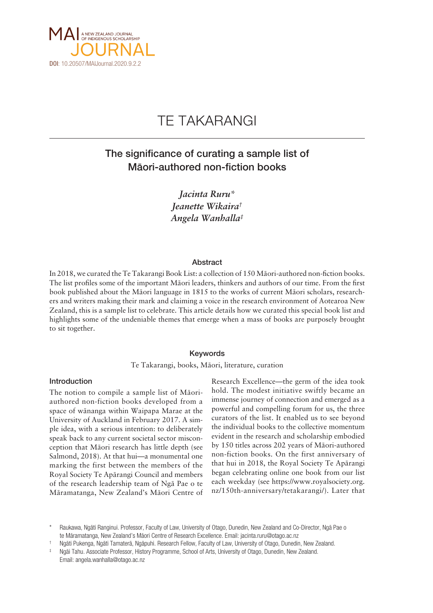

# TE TAKARANGI

# The significance of curating a sample list of Mäori-authored non-fiction books

*Jacinta Ruru\* Jeanette Wikaira† Angela Wanhalla‡*

### Abstract

In 2018, we curated the Te Takarangi Book List: a collection of 150 Mäori-authored non-fiction books. The list profiles some of the important Mäori leaders, thinkers and authors of our time. From the first book published about the Mäori language in 1815 to the works of current Mäori scholars, researchers and writers making their mark and claiming a voice in the research environment of Aotearoa New Zealand, this is a sample list to celebrate. This article details how we curated this special book list and highlights some of the undeniable themes that emerge when a mass of books are purposely brought to sit together.

### Keywords

Te Takarangi, books, Mäori, literature, curation

### Introduction

The notion to compile a sample list of Mäoriauthored non-fiction books developed from a space of wänanga within Waipapa Marae at the University of Auckland in February 2017. A simple idea, with a serious intention: to deliberately speak back to any current societal sector misconception that Mäori research has little depth (see Salmond, 2018). At that hui—a monumental one marking the first between the members of the Royal Society Te Apärangi Council and members of the research leadership team of Ngä Pae o te Märamatanga, New Zealand's Mäori Centre of

Research Excellence—the germ of the idea took hold. The modest initiative swiftly became an immense journey of connection and emerged as a powerful and compelling forum for us, the three curators of the list. It enabled us to see beyond the individual books to the collective momentum evident in the research and scholarship embodied by 150 titles across 202 years of Mäori-authored non-fiction books. On the first anniversary of that hui in 2018, the Royal Society Te Apärangi began celebrating online one book from our list each weekday (see [https://www.royalsociety.org.](https://www.royalsociety.org.nz/150th-anniversary/tetakarangi/) [nz/150th-anniversary/tetakarangi/\)](https://www.royalsociety.org.nz/150th-anniversary/tetakarangi/). Later that

Raukawa, Ngāti Ranginui. Professor, Faculty of Law, University of Otago, Dunedin, New Zealand and Co-Director, Ngā Pae o te Märamatanga, New Zealand's Mäori Centre of Research Excellence. Email: [jacinta.ruru@otago.ac.nz](mailto:jacinta.ruru@otago.ac.nz)

<sup>†</sup> Ngäti Pukenga, Ngäti Tamaterä, Ngäpuhi. Research Fellow, Faculty of Law, University of Otago, Dunedin, New Zealand.

Ngāi Tahu. Associate Professor, History Programme, School of Arts, University of Otago, Dunedin, New Zealand.

Email: [angela.wanhalla@otago.ac.nz](mailto:angela.wanhalla@otago.ac.nz)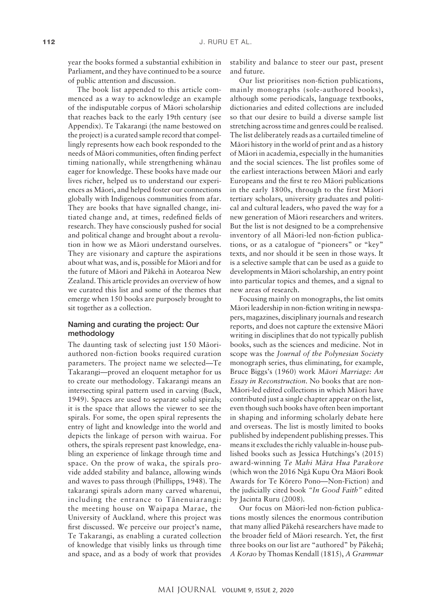year the books formed a substantial exhibition in Parliament, and they have continued to be a source of public attention and discussion.

The book list appended to this article commenced as a way to acknowledge an example of the indisputable corpus of Mäori scholarship that reaches back to the early 19th century (see Appendix). Te Takarangi (the name bestowed on the project) is a curated sample record that compellingly represents how each book responded to the needs of Mäori communities, often finding perfect timing nationally, while strengthening whänau eager for knowledge. These books have made our lives richer, helped us to understand our experiences as Mäori, and helped foster our connections globally with Indigenous communities from afar. They are books that have signalled change, initiated change and, at times, redefined fields of research. They have consciously pushed for social and political change and brought about a revolution in how we as Mäori understand ourselves. They are visionary and capture the aspirations about what was, and is, possible for Mäori and for the future of Mäori and Päkehä in Aotearoa New Zealand. This article provides an overview of how we curated this list and some of the themes that emerge when 150 books are purposely brought to sit together as a collection.

## Naming and curating the project: Our methodology

The daunting task of selecting just 150 Mäoriauthored non-fiction books required curation parameters. The project name we selected—Te Takarangi—proved an eloquent metaphor for us to create our methodology. Takarangi means an intersecting spiral pattern used in carving (Buck, 1949). Spaces are used to separate solid spirals; it is the space that allows the viewer to see the spirals. For some, the open spiral represents the entry of light and knowledge into the world and depicts the linkage of person with wairua. For others, the spirals represent past knowledge, enabling an experience of linkage through time and space. On the prow of waka, the spirals provide added stability and balance, allowing winds and waves to pass through (Phillipps, 1948). The takarangi spirals adorn many carved wharenui, including the entrance to Tänenuiarangi: the meeting house on Waipapa Marae, the University of Auckland, where this project was first discussed. We perceive our project's name, Te Takarangi, as enabling a curated collection of knowledge that visibly links us through time and space, and as a body of work that provides

stability and balance to steer our past, present and future.

Our list prioritises non-fiction publications, mainly monographs (sole-authored books), although some periodicals, language textbooks, dictionaries and edited collections are included so that our desire to build a diverse sample list stretching across time and genres could be realised. The list deliberately reads as a curtailed timeline of Mäori history in the world of print and as a history of Mäori in academia, especially in the humanities and the social sciences. The list profiles some of the earliest interactions between Mäori and early Europeans and the first te reo Mäori publications in the early 1800s, through to the first Mäori tertiary scholars, university graduates and political and cultural leaders, who paved the way for a new generation of Mäori researchers and writers. But the list is not designed to be a comprehensive inventory of all Mäori-led non-fiction publications, or as a catalogue of "pioneers" or "key" texts, and nor should it be seen in those ways. It is a selective sample that can be used as a guide to developments in Mäori scholarship, an entry point into particular topics and themes, and a signal to new areas of research.

Focusing mainly on monographs, the list omits Mäori leadership in non-fiction writing in newspapers, magazines, disciplinary journals and research reports, and does not capture the extensive Mäori writing in disciplines that do not typically publish books, such as the sciences and medicine. Not in scope was the *Journal of the Polynesian Society* monograph series, thus eliminating, for example, Bruce Biggs's (1960) work *Mäori Marriage: An Essay in Reconstruction*. No books that are non-Mäori-led edited collections in which Mäori have contributed just a single chapter appear on the list, even though such books have often been important in shaping and informing scholarly debate here and overseas. The list is mostly limited to books published by independent publishing presses. This means it excludes the richly valuable in-house published books such as Jessica Hutchings's (2015) award-winning *Te Mahi Mära Hua Parakore* (which won the 2016 Ngä Kupu Ora Mäori Book Awards for Te Körero Pono—Non-Fiction) and the judicially cited book *"In Good Faith"* edited by Jacinta Ruru (2008).

Our focus on Mäori-led non-fiction publications mostly silences the enormous contribution that many allied Päkehä researchers have made to the broader field of Mäori research. Yet, the first three books on our list are "authored" by Päkehä; *A Korao* by Thomas Kendall (1815), *A Grammar*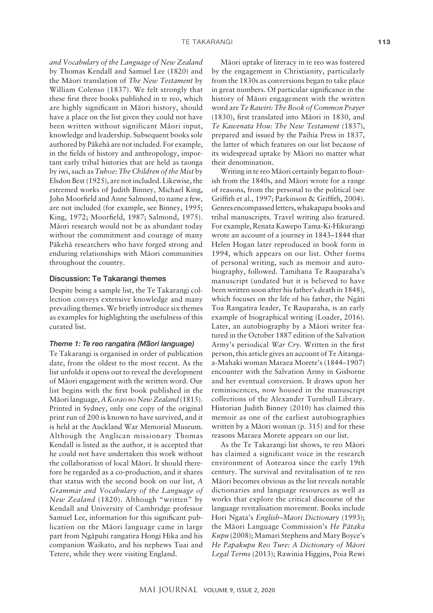*and Vocabulary of the Language of New Zealand* by Thomas Kendall and Samuel Lee (1820) and the Mäori translation of *The New Testament* by William Colenso (1837). We felt strongly that these first three books published in te reo, which are highly significant in Mäori history, should have a place on the list given they could not have been written without significant Mäori input, knowledge and leadership. Subsequent books sole authored by Päkehä are not included. For example, in the fields of history and anthropology, important early tribal histories that are held as taonga by iwi, such as *Tuhoe: The Children of the Mist* by Elsdon Best (1925), are not included. Likewise, the esteemed works of Judith Binney, Michael King, John Moorfield and Anne Salmond, to name a few, are not included (for example, see Binney, 1995; King, 1972; Moorfield, 1987; Salmond, 1975). Mäori research would not be as abundant today without the commitment and courage of many Päkehä researchers who have forged strong and enduring relationships with Mäori communities throughout the country.

#### Discussion: Te Takarangi themes

Despite being a sample list, the Te Takarangi collection conveys extensive knowledge and many prevailing themes. We briefly introduce six themes as examples for highlighting the usefulness of this curated list.

# *Theme 1: Te reo rangatira (M– aori language)*

Te Takarangi is organised in order of publication date, from the oldest to the most recent. As the list unfolds it opens out to reveal the development of Mäori engagement with the written word. Our list begins with the first book published in the Mäori language, *A Korao no New Zealand* (1815). Printed in Sydney, only one copy of the original print run of 200 is known to have survived, and it is held at the Auckland War Memorial Museum. Although the Anglican missionary Thomas Kendall is listed as the author, it is accepted that he could not have undertaken this work without the collaboration of local Mäori. It should therefore be regarded as a co-production, and it shares that status with the second book on our list, *A Grammar and Vocabulary of the Language of New Zealand* (1820). Although "written" by Kendall and University of Cambridge professor Samuel Lee, information for this significant publication on the Mäori language came in large part from Ngäpuhi rangatira Hongi Hika and his companion Waikato, and his nephews Tuai and Tetere, while they were visiting England.

Mäori uptake of literacy in te reo was fostered by the engagement in Christianity, particularly from the 1830s as conversions began to take place in great numbers. Of particular significance in the history of Mäori engagement with the written word are *Te Rawiri: The Book of Common Prayer*  (1830), first translated into Mäori in 1830, and *Te Kawenata Hou: The New Testament* (1837), prepared and issued by the Paihia Press in 1837, the latter of which features on our list because of its widespread uptake by Mäori no matter what their denomination.

Writing in te reo Mäori certainly began to flourish from the 1840s, and Mäori wrote for a range of reasons, from the personal to the political (see Griffith et al., 1997; Parkinson & Griffith, 2004). Genres encompassed letters, whakapapa books and tribal manuscripts. Travel writing also featured. For example, Renata Kawepo Tama-Ki-Hikurangi wrote an account of a journey in 1843–1844 that Helen Hogan later reproduced in book form in 1994, which appears on our list. Other forms of personal writing, such as memoir and autobiography, followed. Tamihana Te Rauparaha's manuscript (undated but it is believed to have been written soon after his father's death in 1848), which focuses on the life of his father, the Ngäti Toa Rangatira leader, Te Rauparaha, is an early example of biographical writing (Loader, 2016). Later, an autobiography by a Mäori writer featured in the October 1887 edition of the Salvation Army's periodical *War Cry*. Written in the first person, this article gives an account of Te Aitangaa-Mahaki woman Maraea Morete's (1844–1907) encounter with the Salvation Army in Gisborne and her eventual conversion. It draws upon her reminiscences, now housed in the manuscript collections of the Alexander Turnbull Library. Historian Judith Binney (2010) has claimed this memoir as one of the earliest autobiographies written by a Mäori woman (p. 315) and for these reasons Maraea Morete appears on our list.

As the Te Takarangi list shows, te reo Mäori has claimed a significant voice in the research environment of Aotearoa since the early 19th century. The survival and revitalisation of te reo Mäori becomes obvious as the list reveals notable dictionaries and language resources as well as works that explore the critical discourse of the language revitalisation movement. Books include Hori Ngata's *English–Maori Dictionary* (1993); the Mäori Language Commission's *He Pätaka Kupu* (2008); Mamari Stephens and Mary Boyce's *He Papakupu Reo Ture: A Dictionary of Mäori Legal Terms* (2013); Rawinia Higgins, Poia Rewi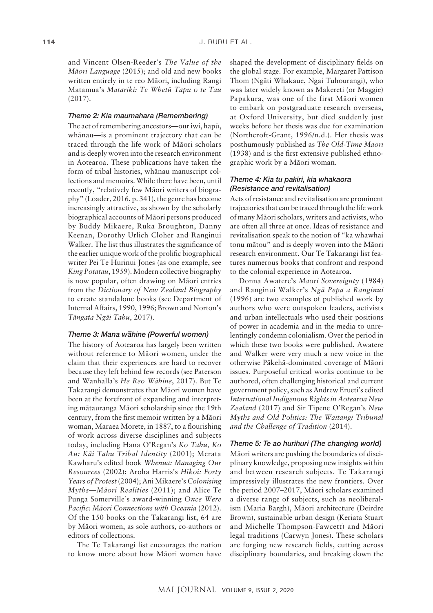and Vincent Olsen-Reeder's *The Value of the Mäori Language* (2015); and old and new books written entirely in te reo Mäori, including Rangi Matamua's *Matariki: Te Whetü Tapu o te Tau* (2017).

### *Theme 2: Kia maumahara (Remembering)*

The act of remembering ancestors—our iwi, hapü, whänau—is a prominent trajectory that can be traced through the life work of Mäori scholars and is deeply woven into the research environment in Aotearoa. These publications have taken the form of tribal histories, whänau manuscript collections and memoirs. While there have been, until recently, "relatively few Mäori writers of biography" (Loader, 2016, p. 341), the genre has become increasingly attractive, as shown by the scholarly biographical accounts of Mäori persons produced by Buddy Mikaere, Ruka Broughton, Danny Keenan, Dorothy Urlich Cloher and Ranginui Walker. The list thus illustrates the significance of the earlier unique work of the prolific biographical writer Pei Te Hurinui Jones (as one example, see *King Potatau*, 1959). Modern collective biography is now popular, often drawing on Mäori entries from the *Dictionary of New Zealand Biography* to create standalone books (see Department of Internal Affairs, 1990, 1996; Brown and Norton's *Tängata Ngäi Tahu*, 2017).

# *Theme 3: Mana w– ahine (Powerful women)*

The history of Aotearoa has largely been written without reference to Mäori women, under the claim that their experiences are hard to recover because they left behind few records (see Paterson and Wanhalla's *He Reo Wähine*, 2017). But Te Takarangi demonstrates that Mäori women have been at the forefront of expanding and interpreting mätauranga Mäori scholarship since the 19th century, from the first memoir written by a Mäori woman, Maraea Morete, in 1887, to a flourishing of work across diverse disciplines and subjects today, including Hana O'Regan's *Ko Tahu, Ko Au: Käi Tahu Tribal Identity* (2001); Merata Kawharu's edited book *Whenua: Managing Our Resources* (2002); Aroha Harris's *Hïkoi: Forty Years of Protest* (2004); Ani Mikaere's *Colonising Myths—Mäori Realities* (2011); and Alice Te Punga Somerville's award-winning *Once Were Pacific: Mäori Connections with Oceania* (2012). Of the 150 books on the Takarangi list, 64 are by Mäori women, as sole authors, co-authors or editors of collections.

The Te Takarangi list encourages the nation to know more about how Mäori women have

shaped the development of disciplinary fields on the global stage. For example, Margaret Pattison Thom (Ngäti Whakaue, Ngai Tuhourangi), who was later widely known as Makereti (or Maggie) Papakura, was one of the first Mäori women to embark on postgraduate research overseas, at Oxford University, but died suddenly just weeks before her thesis was due for examination (Northcroft-Grant, 1996/n.d.). Her thesis was posthumously published as *The Old-Time Maori*  (1938) and is the first extensive published ethnographic work by a Mäori woman.

### *Theme 4: Kia tu pakiri, kia whakaora (Resistance and revitalisation)*

Acts of resistance and revitalisation are prominent trajectories that can be traced through the life work of many Mäori scholars, writers and activists, who are often all three at once. Ideas of resistance and revitalisation speak to the notion of "ka whawhai tonu mätou" and is deeply woven into the Mäori research environment. Our Te Takarangi list features numerous books that confront and respond to the colonial experience in Aotearoa.

Donna Awatere's *Maori Sovereignty* (1984) and Ranginui Walker's *Ngä Pepa a Ranginui* (1996) are two examples of published work by authors who were outspoken leaders, activists and urban intellectuals who used their positions of power in academia and in the media to unrelentingly condemn colonialism. Over the period in which these two books were published, Awatere and Walker were very much a new voice in the otherwise Päkehä-dominated coverage of Mäori issues. Purposeful critical works continue to be authored, often challenging historical and current government policy, such as Andrew Erueti's edited *International Indigenous Rights in Aotearoa New Zealand* (2017) and Sir Tïpene O'Regan's *New Myths and Old Politics: The Waitangi Tribunal and the Challenge of Tradition* (2014).

### *Theme 5: Te ao hurihuri (The changing world)*

Mäori writers are pushing the boundaries of disciplinary knowledge, proposing new insights within and between research subjects. Te Takarangi impressively illustrates the new frontiers. Over the period 2007–2017, Mäori scholars examined a diverse range of subjects, such as neoliberalism (Maria Bargh), Mäori architecture (Deirdre Brown), sustainable urban design (Keriata Stuart and Michelle Thompson-Fawcett) and Mäori legal traditions (Carwyn Jones). These scholars are forging new research fields, cutting across disciplinary boundaries, and breaking down the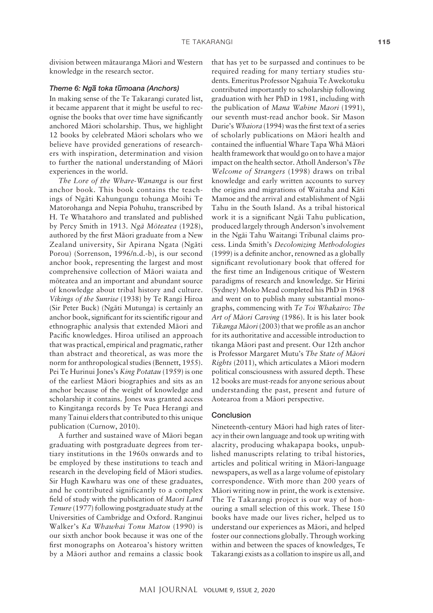division between mätauranga Mäori and Western knowledge in the research sector.

# *Theme 6: Ng– a toka t– umoana (Anchors)*

In making sense of the Te Takarangi curated list, it became apparent that it might be useful to recognise the books that over time have significantly anchored Mäori scholarship. Thus, we highlight 12 books by celebrated Mäori scholars who we believe have provided generations of researchers with inspiration, determination and vision to further the national understanding of Mäori experiences in the world.

*The Lore of the Whare-Wananga* is our first anchor book. This book contains the teachings of Ngäti Kahungungu tohunga Moihi Te Matorohanga and Nepia Pohuhu, transcribed by H. Te Whatahoro and translated and published by Percy Smith in 1913. *Ngä Möteatea* (1928), authored by the first Mäori graduate from a New Zealand university, Sir Apirana Ngata (Ngäti Porou) (Sorrenson, 1996/n.d.-b), is our second anchor book, representing the largest and most comprehensive collection of Mäori waiata and möteatea and an important and abundant source of knowledge about tribal history and culture. *Vikings of the Sunrise* (1938) by Te Rangi Hiroa (Sir Peter Buck) (Ngäti Mutunga) is certainly an anchor book, significant for its scientific rigour and ethnographic analysis that extended Mäori and Pacific knowledges. Hiroa utilised an approach that was practical, empirical and pragmatic, rather than abstract and theoretical, as was more the norm for anthropological studies (Bennett, 1955). Pei Te Hurinui Jones's *King Potatau* (1959) is one of the earliest Mäori biographies and sits as an anchor because of the weight of knowledge and scholarship it contains. Jones was granted access to Kingitanga records by Te Puea Herangi and many Tainui elders that contributed to this unique publication (Curnow, 2010).

A further and sustained wave of Mäori began graduating with postgraduate degrees from tertiary institutions in the 1960s onwards and to be employed by these institutions to teach and research in the developing field of Mäori studies. Sir Hugh Kawharu was one of these graduates, and he contributed significantly to a complex field of study with the publication of *Maori Land Tenure* (1977) following postgraduate study at the Universities of Cambridge and Oxford. Ranginui Walker's *Ka Whawhai Tonu Matou* (1990) is our sixth anchor book because it was one of the first monographs on Aotearoa's history written by a Mäori author and remains a classic book

that has yet to be surpassed and continues to be required reading for many tertiary studies students. Emeritus Professor Ngahuia Te Awekotuku contributed importantly to scholarship following graduation with her PhD in 1981, including with the publication of *Mana Wahine Maori* (1991), our seventh must-read anchor book. Sir Mason Durie's *Whaiora* (1994) was the first text of a series of scholarly publications on Mäori health and contained the influential Whare Tapa Whä Mäori health framework that would go on to have a major impact on the health sector. Atholl Anderson's *The Welcome of Strangers* (1998) draws on tribal knowledge and early written accounts to survey the origins and migrations of Waitaha and Käti Mamoe and the arrival and establishment of Ngäi Tahu in the South Island. As a tribal historical work it is a significant Ngäi Tahu publication, produced largely through Anderson's involvement in the Ngäi Tahu Waitangi Tribunal claims process. Linda Smith's *Decolonizing Methodologies*  (1999) is a definite anchor, renowned as a globally significant revolutionary book that offered for the first time an Indigenous critique of Western paradigms of research and knowledge. Sir Hirini (Sydney) Moko Mead completed his PhD in 1968 and went on to publish many substantial monographs, commencing with *Te Toi Whakairo: The Art of Mäori Carving* (1986). It is his later book *Tikanga Mäori* (2003) that we profile as an anchor for its authoritative and accessible introduction to tikanga Mäori past and present. Our 12th anchor is Professor Margaret Mutu's *The State of Mäori Rights* (2011), which articulates a Mäori modern political consciousness with assured depth. These 12 books are must-reads for anyone serious about understanding the past, present and future of Aotearoa from a Mäori perspective.

### Conclusion

Nineteenth-century Mäori had high rates of literacy in their own language and took up writing with alacrity, producing whakapapa books, unpublished manuscripts relating to tribal histories, articles and political writing in Mäori-language newspapers, as well as a large volume of epistolary correspondence. With more than 200 years of Mäori writing now in print, the work is extensive. The Te Takarangi project is our way of honouring a small selection of this work. These 150 books have made our lives richer, helped us to understand our experiences as Mäori, and helped foster our connections globally. Through working within and between the spaces of knowledges, Te Takarangi exists as a collation to inspire us all, and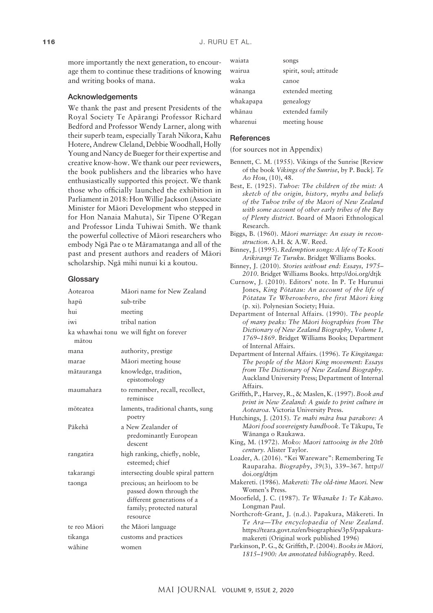more importantly the next generation, to encourage them to continue these traditions of knowing and writing books of mana.

### Acknowledgements

We thank the past and present Presidents of the Royal Society Te Apärangi Professor Richard Bedford and Professor Wendy Larner, along with their superb team, especially Tarah Nikora, Kahu Hotere, Andrew Cleland, Debbie Woodhall, Holly Young and Nancy de Bueger for their expertise and creative know-how. We thank our peer reviewers, the book publishers and the libraries who have enthusiastically supported this project. We thank those who officially launched the exhibition in Parliament in 2018: Hon Willie Jackson (Associate Minister for Mäori Development who stepped in for Hon Nanaia Mahuta), Sir Tïpene O'Regan and Professor Linda Tuhiwai Smith. We thank the powerful collective of Mäori researchers who embody Ngä Pae o te Märamatanga and all of the past and present authors and readers of Mäori scholarship. Ngä mihi nunui ki a koutou.

#### **Glossary**

| Aotearoa     | Māori name for New Zealand                                                                                                    |
|--------------|-------------------------------------------------------------------------------------------------------------------------------|
| hapū         | sub-tribe                                                                                                                     |
| hui          | meeting                                                                                                                       |
| iwi          | tribal nation                                                                                                                 |
| mātou        | ka whawhai tonu we will fight on forever                                                                                      |
| mana         | authority, prestige                                                                                                           |
| marae        | Māori meeting house                                                                                                           |
| mātauranga   | knowledge, tradition,<br>epistomology                                                                                         |
| maumahara    | to remember, recall, recollect,<br>reminisce                                                                                  |
| mõteatea     | laments, traditional chants, sung<br>poetry                                                                                   |
| Pākehā       | a New Zealander of<br>predominantly European<br>descent                                                                       |
| rangatira    | high ranking, chiefly, noble,<br>esteemed; chief                                                                              |
| takarangi    | intersecting double spiral pattern                                                                                            |
| taonga       | precious; an heirloom to be<br>passed down through the<br>different generations of a<br>family; protected natural<br>resource |
| te reo Māori | the Māori language                                                                                                            |
| tikanga      | customs and practices                                                                                                         |
| wāhine       | women                                                                                                                         |

| waiata    | songs                  |
|-----------|------------------------|
| wairua    | spirit, soul; attitude |
| waka      | canoe                  |
| wānanga   | extended meeting       |
| whakapapa | genealogy              |
| whānau    | extended family        |
| wharenui  | meeting house          |

#### **References**

(for sources not in Appendix)

- Bennett, C. M. (1955). Vikings of the Sunrise [Review of the book *Vikings of the Sunrise*, by P. Buck]. *Te Ao Hou*, (10), 48.
- Best, E. (1925). *Tuhoe: The children of the mist: A sketch of the origin, history, myths and beliefs of the Tuhoe tribe of the Maori of New Zealand with some account of other early tribes of the Bay of Plenty district.* Board of Maori Ethnological Research.
- Biggs, B. (1960). *Mäori marriage: An essay in reconstruction*. A.H. & A.W. Reed.
- Binney, J. (1995). *Redemption songs: A life of Te Kooti Arikirangi Te Turuku*. Bridget Williams Books.
- Binney, J. (2010). *Stories without end: Essays, 1975– 2010*. Bridget Williams Books. <http://doi.org/dtjk>
- Curnow, J. (2010). Editors' note. In P. Te Hurunui Jones, *King Pötatau: An account of the life of Pötatau Te Wherowhero, the first Mäori king* (p. xi)*.* Polynesian Society; Huia.
- Department of Internal Affairs. (1990). *The people of many peaks: The Mäori biographies from The Dictionary of New Zealand Biography, Volume 1, 1769–1869*. Bridget Williams Books; Department of Internal Affairs.
- Department of Internal Affairs. (1996). *Te Kïngitanga: The people of the Mäori King movement: Essays from The Dictionary of New Zealand Biography*. Auckland University Press; Department of Internal Affairs.
- Griffith, P., Harvey, R., & Maslen, K. (1997). *Book and print in New Zealand: A guide to print culture in Aotearoa*. Victoria University Press.
- Hutchings, J. (2015). *Te mahi mära hua parakore: A Mäori food sovereignty handbook*. Te Täkupu, Te Wänanga o Raukawa.

- Loader, A. (2016). "Kei Wareware": Remembering Te Rauparaha. *Biography*, *39*(3), 339–367. [http://](http://doi.org/dtjm) [doi.org/dtjm](http://doi.org/dtjm)
- Makereti. (1986). *Makereti: The old-time Maori.* New Women's Press.
- Moorfield, J. C. (1987). *Te Whanake 1: Te Käkano.* Longman Paul.
- Northcroft-Grant, J. (n.d.). Papakura, Mäkereti. In *Te Ara—The encyclopaedia of New Zealand*. [https://teara.govt.nz/en/biographies/3p5/papakura](https://teara.govt.nz/en/biographies/3p5/papakura-makereti)[makereti](https://teara.govt.nz/en/biographies/3p5/papakura-makereti) (Original work published 1996)
- Parkinson, P. G., & Griffith, P. (2004). *Books in Mäori, 1815–1900: An annotated bibliography*. Reed.

King, M. (1972). *Moko: Maori tattooing in the 20th century.* Alister Taylor.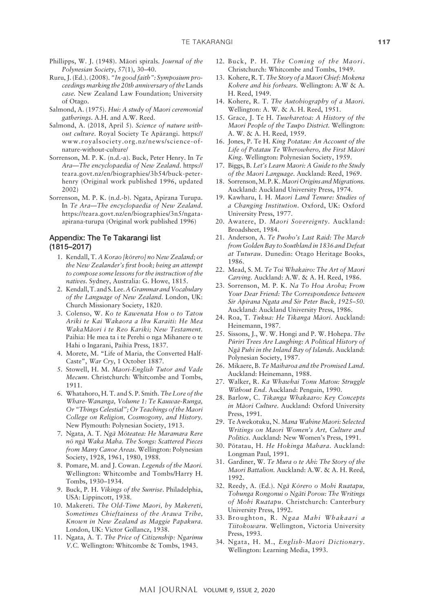- Phillipps, W. J. (1948). Mäori spirals. *Journal of the Polynesian Society*, *57*(1), 30–40.
- Ruru, J. (Ed.). (2008). *"In good faith": Symposium proceedings marking the 20th anniversary of the* Lands *case.* New Zealand Law Foundation; University of Otago.
- Salmond, A. (1975). *Hui: A study of Maori ceremonial gatherings*. A.H. and A.W. Reed.
- Salmond, A. (2018, April 5). *Science of nature without culture.* Royal Society Te Apärangi. [https://](https://www.royalsociety.org.nz/news/science-of-nature-without-culture/) [www.royalsociety.org.nz/news/science-of](https://www.royalsociety.org.nz/news/science-of-nature-without-culture/)[nature-without-culture/](https://www.royalsociety.org.nz/news/science-of-nature-without-culture/)
- Sorrenson, M. P. K. (n.d.-a). Buck, Peter Henry. In *Te Ara—The encyclopaedia of New Zealand*. [https://](https://teara.govt.nz/en/biographies/3b54/buck-peter-henry) [teara.govt.nz/en/biographies/3b54/buck-peter](https://teara.govt.nz/en/biographies/3b54/buck-peter-henry)[henry](https://teara.govt.nz/en/biographies/3b54/buck-peter-henry) (Original work published 1996, updated 2002)
- Sorrenson, M. P. K. (n.d.-b). Ngata, Apirana Turupa. In *Te Ara—The encyclopaedia of New Zealand*. [https://teara.govt.nz/en/biographies/3n5/ngata](https://teara.govt.nz/en/biographies/3n5/ngata-apirana-turupa)[apirana-turupa](https://teara.govt.nz/en/biographies/3n5/ngata-apirana-turupa) (Original work published 1996)

# Appendix: The Te Takarangi list (1815–2017)

- 1. Kendall, T. *A Korao [körero] no New Zealand; or the New Zealander's first book; being an attempt to compose some lessons for the instruction of the natives.* Sydney, Australia: G. Howe, 1815.
- 2. Kendall, T. and S. Lee. *A Grammar and Vocabulary of the Language of New Zealand*. London, UK: Church Missionary Society, 1820.
- 3. Colenso, W. *Ko te Kawenata Hou o to Tatou Ariki te Kai Wakaora a Ihu Karaiti: He Mea WakaMäori i te Reo Kariki; New Testament.* Paihia: He mea ta i te Perehi o nga Mihanere o te Hahi o Ingarani, Paihia Press, 1837.
- 4. Morete, M. "Life of Maria, the Converted Half-Caste", *War Cry*, 1 October 1887.
- 5. Stowell, H. M. *Maori-English Tutor and Vade Mecum*. Christchurch: Whitcombe and Tombs, 1911.
- 6. Whatahoro, H. T. and S. P. Smith. *The Lore of the Whare-Wananga, Volume 1: Te Kauwae-Runga, Or "Things Celestial"; Or Teachings of the Maori College on Religion, Cosmogony, and History*. New Plymouth: Polynesian Society, 1913.
- 7. Ngata, A. T. *Ngä Möteatea: He Maramara Rere nö ngä Waka Maha. The Songs: Scattered Pieces from Many Canoe Areas.* Wellington: Polynesian Society, 1928, 1961, 1980, 1988.
- 8. Pomare, M. and J. Cowan. *Legends of the Maori.*  Wellington: Whitcombe and Tombs/Harry H. Tombs, 1930–1934.
- 9. Buck, P. H. *Vikings of the Sunrise*. Philadelphia, USA: Lippincott, 1938.
- 10. Makereti. *The Old-Time Maori, by Makereti, Sometimes Chieftainess of the Arawa Tribe, Known in New Zealand as Maggie Papakura.*  London, UK: Victor Gollancz, 1938.
- 11. Ngata, A. T. *The Price of Citizenship: Ngarimu V.C*. Wellington: Whitcombe & Tombs, 1943.
- 12. Buck, P. H. *The Coming of the Maori*. Christchurch: Whitcombe and Tombs, 1949.
- 13. Kohere, R. T. *The Story of a Maori Chief: Mokena Kohere and his forbears.* Wellington: A.W & A. H. Reed, 1949.
- 14. Kohere, R. T. *The Autobiography of a Maori.*  Wellington: A. W. & A. H. Reed, 1951.
- 15. Grace, J. Te H. *Tuwharetoa: A History of the Maori People of the Taupo District.* Wellington: A. W. & A. H. Reed, 1959.
- 16. Jones, P. Te H. *King Potatau: An Account of the Life of Potatau Te Wherowhero, the First Mäori King.* Wellington: Polynesian Society, 1959.
- 17. Biggs, B. *Let's Learn Maori: A Guide to the Study of the Maori Language*. Auckland: Reed, 1969.
- 18. Sorrenson, M. P. K. *Maori Origins and Migrations.*  Auckland: Auckland University Press, 1974.
- 19. Kawharu, I. H. *Maori Land Tenure: Studies of a Changing Institution*. Oxford, UK: Oxford University Press, 1977.
- 20. Awatere, D. *Maori Sovereignty*. Auckland: Broadsheet, 1984.
- 21. Anderson, A. *Te Puoho's Last Raid: The March from Golden Bay to Southland in 1836 and Defeat at Tuturau.* Dunedin: Otago Heritage Books, 1986.
- 22. Mead, S. M. *Te Toi Whakairo: The Art of Maori Carving.* Auckland: A.W. & A. H. Reed, 1986.
- 23. Sorrenson, M. P. K. *Na To Hoa Aroha; From Your Dear Friend: The Correspondence between Sir Apirana Ngata and Sir Peter Buck, 1925–50.*  Auckland: Auckland University Press, 1986.
- 24. Roa, T. *Tukua: He Tikanga Mäori.* Auckland: Heinemann, 1987.
- 25. Sissons, J., W. W. Hongi and P. W. Hohepa. *The Püriri Trees Are Laughing: A Political History of Ngä Puhi in the Inland Bay of Islands.* Auckland: Polynesian Society, 1987.
- 26. Mikaere, B. *Te Maiharoa and the Promised Land*. Auckland: Heinemann, 1988.
- 27. Walker, R. *Ka Whawhai Tonu Matou: Struggle Without End*. Auckland: Penguin, 1990.
- 28. Barlow, C. *Tikanga Whakaaro: Key Concepts in Mäori Culture.* Auckland: Oxford University Press, 1991.
- 29. Te Awekotuku, N. *Mana Wahine Maori: Selected Writings on Maori Women's Art, Culture and Politics.* Auckland: New Women's Press, 1991.
- 30. Pötatau, H. *He Hokinga Mahara*. Auckland: Longman Paul, 1991.
- 31. Gardiner, W. *Te Mura o te Ahi: The Story of the Maori Battalion.* Auckland: A.W. & A. H. Reed, 1992.
- 32. Reedy, A. (Ed.). *Ngä Körero o Mohi Ruatapu, Tohunga Rongonui o Ngäti Porou: The Writings of Mohi Ruatapu*. Christchurch: Canterbury University Press, 1992.
- 33. Broughton, R. *Ngaa Mahi Whakaari a Tiitokowaru.* Wellington, Victoria University Press, 1993.
- 34. Ngata, H. M., *English-Maori Dictionary.*  Wellington: Learning Media, 1993.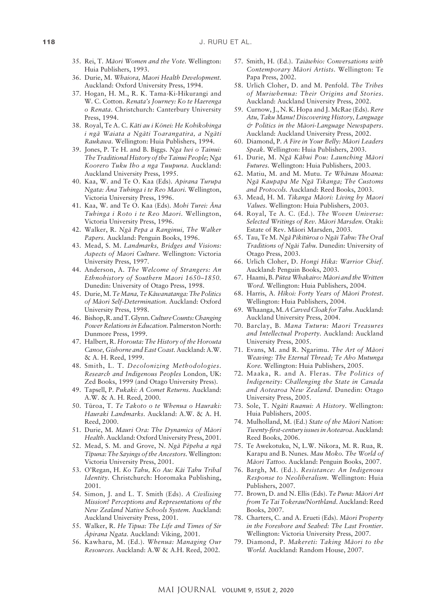- 35. Rei, T*. Mäori Women and the Vote.* Wellington: Huia Publishers, 1993.
- 36. Durie, M. *Whaiora, Maori Health Development.* Auckland: Oxford University Press, 1994.
- 37. Hogan, H. M., R. K. Tama-Ki-Hikurangi and W. C. Cotton. *Renata's Journey: Ko te Haerenga o Renata*. Christchurch: Canterbury University Press, 1994.
- 38. Royal, Te A. C. *Käti au i Könei: He Kohikohinga i ngä Waiata a Ngäti Toarangatira, a Ngäti Raukawa.* Wellington: Huia Publishers, 1994.
- 39. Jones, P. Te H. and B. Biggs. *Nga Iwi o Tainui: The Traditional History of the Tainui People; Nga Koorero Tuku Iho a nga Tuupuna.* Auckland: Auckland University Press, 1995.
- 40. Kaa, W. and Te O. Kaa (Eds). *Apirana Turupa Ngata: Äna Tuhinga i te Reo Maori.* Wellington, Victoria University Press, 1996.
- 41. Kaa, W. and Te O. Kaa (Eds). *Mohi Turei: Äna Tuhinga i Roto i te Reo Maori*. Wellington, Victoria University Press, 1996.
- 42. Walker, R. *Ngä Pepa a Ranginui, The Walker Papers.* Auckland: Penguin Books, 1996.
- 43. Mead, S. M. *Landmarks, Bridges and Visions: Aspects of Maori Culture.* Wellington: Victoria University Press, 1997.
- 44. Anderson, A*. The Welcome of Strangers: An Ethnohistory of Southern Maori 1650–1850.*  Dunedin: University of Otago Press, 1998.
- 45. Durie, M. *Te Mana, Te Käwanatanga: The Politics of Mäori Self-Determination.* Auckland: Oxford University Press, 1998.
- 46. Bishop, R. and T. Glynn. *Culture Counts: Changing Power Relations in Education.* Palmerston North: Dunmore Press, 1999.
- 47. Halbert, R. *Horouta: The History of the Horouta Canoe, Gisborne and East Coast.* Auckland: A.W. & A. H. Reed, 1999.
- 48. Smith, L. T. *Decolonizing Methodologies. Research and Indigenous Peoples* London, UK: Zed Books, 1999 (and Otago University Press).
- 49. Tapsell, P. *Pukaki: A Comet Returns.* Auckland: A.W. & A. H. Reed, 2000.
- 50. Türoa, T. *Te Takoto o te Whenua o Hauraki: Hauraki Landmarks.* Auckland: A.W. & A. H. Reed, 2000.
- 51. Durie, M. *Mauri Ora: The Dynamics of Mäori Health.* Auckland: Oxford University Press, 2001.
- 52. Mead, S. M. and Grove, N. *Ngä Pëpeha a ngä Tïpuna: The Sayings of the Ancestors.* Wellington: Victoria University Press, 2001.
- 53. O'Regan, H. *Ko Tahu, Ko Au: Käi Tahu Tribal Identity.* Christchurch: Horomaka Publishing, 2001.
- 54. Simon, J. and L. T. Smith (Eds). *A Civilising Mission? Perceptions and Representations of the New Zealand Native Schools System.* Auckland: Auckland University Press, 2001.
- 55. Walker, R. *He Tipua: The Life and Times of Sir Äpirana Ngata.* Auckland: Viking, 2001.
- 56. Kawharu, M. (Ed.). *Whenua: Managing Our Resources.* Auckland: A.W & A.H. Reed, 2002.
- 57. Smith, H. (Ed.). *Taiäwhio: Conversations with Contemporary Mäori Artists.* Wellington: Te Papa Press, 2002.
- 58. Urlich Cloher, D. and M. Penfold. *The Tribes of Muriwhenua: Their Origins and Stories.*  Auckland: Auckland University Press, 2002.
- 59. Curnow, J., N. K. Hopa and J. McRae (Eds). *Rere Atu, Taku Manu! Discovering History, Language & Politics in the Mäori-Language Newspapers*. Auckland: Auckland University Press, 2002.
- 60. Diamond, P. *A Fire in Your Belly: Mäori Leaders Speak.* Wellington: Huia Publishers, 2003.
- 61. Durie, M. *Ngä Kähui Pou: Launching Mäori Futures.* Wellington: Huia Publishers, 2003.
- 62. Matiu, M. and M. Mutu. *Te Whänau Moana: Ngä Kaupapa Me Ngä Tikanga; The Customs and Protocols.* Auckland: Reed Books, 2003.
- 63. Mead, H. M. *Tikanga Mäori: Living by Maori Values.* Wellington: Huia Publishers, 2003.
- 64. Royal, Te A. C. (Ed.). *The Woven Universe: Selected Writings of Rev. Mäori Marsden.* Otaki: Estate of Rev. Mäori Marsden, 2003.
- 65. Tau, Te M. *Ngä Pikitüroa o Ngäi Tahu: The Oral Traditions of Ngäi Tahu.* Dunedin: University of Otago Press, 2003.
- 66. Urlich Cloher, D. *Hongi Hika: Warrior Chief.* Auckland: Penguin Books, 2003.
- 67. Haami, B. *Pütea Whakairo: Mäori and the Written Word.* Wellington: Huia Publishers, 2004.
- 68. Harris, A. *Hïkoi: Forty Years of Mäori Protest*. Wellington: Huia Publishers, 2004.
- 69. Whaanga, M. *A Carved Cloak for Tahu*. Auckland: Auckland University Press, 2004.
- 70. Barclay, B. *Mana Tuturu: Maori Treasures and Intellectual Property*. Auckland: Auckland University Press, 2005.
- 71. Evans, M. and R. Ngarimu. *The Art of Mäori Weaving: The Eternal Thread; Te Aho Mutunga Kore.* Wellington: Huia Publishers, 2005.
- 72. Maaka, R. and A. Fleras. *The Politics of Indigeneity: Challenging the State in Canada and Aotearoa New Zealand.* Dunedin: Otago University Press, 2005.
- 73. Sole, T. *Ngäti Ruanui: A History.* Wellington: Huia Publishers, 2005.
- 74. Mulholland, M. (Ed.) *State of the Mäori Nation: Twenty-first-century issues in Aotearoa*. Auckland: Reed Books, 2006.
- 75. Te Awekotuku, N, L.W. Nikora, M. R. Rua, R. Karapu and B. Nunes. *Mau Moko. The World of Mäori Tattoo.* Auckland: Penguin Books, 2007.
- 76. Bargh, M. (Ed.). *Resistance: An Indigenous Response to Neoliberalism.* Wellington: Huia Publishers, 2007.
- 77. Brown, D. and N. Ellis (Eds). *Te Puna: Mäori Art from Te Tai Tokerau/Northland.* Auckland: Reed Books, 2007.
- 78. Charters, C. and A. Erueti (Eds). *Mäori Property in the Foreshore and Seabed: The Last Frontier.*  Wellington: Victoria University Press, 2007.
- 79. Diamond, P. *Makereti: Taking Mäori to the World.* Auckland: Random House, 2007.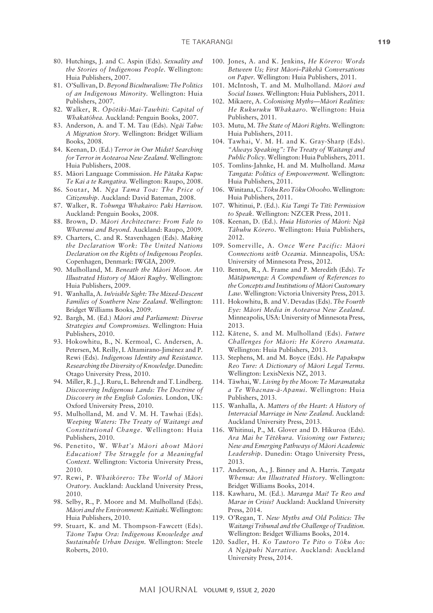- 80. Hutchings, J. and C. Aspin (Eds). *Sexuality and the Stories of Indigenous People*. Wellington: Huia Publishers, 2007.
- 81. O'Sullivan, D. *Beyond Biculturalism: The Politics of an Indigenous Minority.* Wellington: Huia Publishers, 2007.
- 82. Walker, R. *Öpötiki-Mai-Tawhiti: Capital of Whakatöhea.* Auckland: Penguin Books, 2007.
- 83. Anderson, A. and T. M. Tau (Eds). *Ngäi Tahu: A Migration Story.* Wellington: Bridget William Books, 2008.
- 84. Keenan, D. (Ed.) *Terror in Our Midst? Searching for Terror in Aotearoa New Zealand.* Wellington: Huia Publishers, 2008.
- 85. Mäori Language Commission. *He Pätaka Kupu: Te Kai a te Rangatira.* Wellington: Raupo, 2008.
- 86. Soutar, M. *Nga Tama Toa: The Price of Citizenship*. Auckland: David Bateman, 2008.
- 87. Walker, R. *Tohunga Whakairo: Paki Harrison.*  Auckland: Penguin Books, 2008.
- 88. Brown, D. *Mäori Architecture: From Fale to Wharenui and Beyond.* Auckland: Raupo, 2009.
- 89. Charters, C. and R. Stavenhagen (Eds). *Making the Declaration Work: The United Nations Declaration on the Rights of Indigenous Peoples.*  Copenhagen, Denmark: IWGIA, 2009.
- 90. Mulholland, M. *Beneath the Mäori Moon. An Illustrated History of Mäori Rugby.* Wellington: Huia Publishers, 2009.
- 91. Wanhalla, A. *In/visible Sight: The Mixed-Descent Families of Southern New Zealand*. Wellington: Bridget Williams Books, 2009.
- 92. Bargh, M. (Ed.) *Mäori and Parliament: Diverse Strategies and Compromises.* Wellington: Huia Publishers, 2010.
- 93. Hokowhitu, B., N. Kermoal, C. Andersen, A. Petersen, M. Reilly, I. Altamirano-Jiménez and P. Rewi (Eds). *Indigenous Identity and Resistance. Researching the Diversity of Knowledge.* Dunedin: Otago University Press, 2010.
- 94. Miller, R. J., J. Ruru, L. Behrendt and T. Lindberg. *Discovering Indigenous Lands: The Doctrine of Discovery in the English Colonies.* London, UK: Oxford University Press, 2010.
- 95. Mulholland, M. and V. M. H. Tawhai (Eds). *Weeping Waters: The Treaty of Waitangi and Constitutional Change*. Wellington: Huia Publishers, 2010.
- 96. Penetito, W. *What's Mäori about Mäori Education? The Struggle for a Meaningful Context.* Wellington: Victoria University Press, 2010.
- 97. Rewi, P. *Whaikörero: The World of Mäori Oratory.* Auckland: Auckland University Press, 2010.
- 98. Selby, R., P. Moore and M. Mulholland (Eds). *Mäori and the Environment: Kaitiaki.* Wellington: Huia Publishers, 2010.
- 99. Stuart, K. and M. Thompson-Fawcett (Eds). *Täone Tupu Ora: Indigenous Knowledge and Sustainable Urban Design.* Wellington: Steele Roberts, 2010.
- 100. Jones, A. and K. Jenkins, *He Körero: Words Between Us; First Mäori–Päkehä Conversations on Paper.* Wellington: Huia Publishers, 2011.
- 101. McIntosh, T. and M. Mulholland. *Mäori and Social Issues.* Wellington: Huia Publishers, 2011.
- 102. Mikaere, A. *Colonising Myths—Mäori Realities: He Rukuruku Whakaaro.* Wellington: Huia Publishers, 2011.
- 103. Mutu, M. *The State of Mäori Rights.* Wellington: Huia Publishers, 2011.
- 104. Tawhai, V. M. H. and K. Gray-Sharp (Eds). *"Always Speaking": The Treaty of Waitangi and Public Policy.* Wellington: Huia Publishers, 2011.
- 105. Tomlins-Jahnke, H. and M. Mulholland. *Mana Tangata: Politics of Empowerment.* Wellington: Huia Publishers, 2011.
- 106. Winitana, C. *Töku Reo Töku Ohooho.* Wellington: Huia Publishers, 2011.
- 107. Whitinui, P. (Ed.). *Kia Tangi Te Tïtï: Permission to Speak.* Wellington: NZCER Press, 2011.
- 108. Keenan, D. (Ed.). *Huia Histories of Mäori: Ngä Tähuhu Körero*. Wellington: Huia Publishers, 2012.
- 109. Somerville, A. *Once Were Pacific: Mäori Connections with Oceania*. Minneapolis, USA: University of Minnesota Press, 2012.
- 110. Benton, R., A. Frame and P. Meredith (Eds). *Te Mätäpunenga: A Compendium of References to the Concepts and Institutions of Mäori Customary Law.* Wellington: Victoria University Press, 2013.
- 111. Hokowhitu, B. and V. Devadas (Eds). *The Fourth Eye: Mäori Media in Aotearoa New Zealand*. Minneapolis, USA: University of Minnesota Press, 2013.
- 112. Kätene, S. and M. Mulholland (Eds). *Future Challenges for Mäori: He Körero Anamata.*  Wellington: Huia Publishers, 2013.
- 113. Stephens, M. and M. Boyce (Eds). *He Papakupu Reo Ture: A Dictionary of Mäori Legal Terms.*  Wellington: LexisNexis NZ, 2013.
- 114. Täwhai, W. *Living by the Moon: Te Maramataka a Te Whacnau-ä-Apanui*. Wellington: Huia Publishers, 2013.
- 115. Wanhalla, A. *Matters of the Heart: A History of Interracial Marriage in New Zealand.* Auckland: Auckland University Press, 2013.
- 116. Whitinui, P., M. Glover and D. Hikuroa (Eds). *Ara Mai he Tëtëkura. Visioning our Futures; New and Emerging Pathways of Mäori Academic Leadership*. Dunedin: Otago University Press, 2013.
- 117. Anderson, A., J. Binney and A. Harris. *Tangata Whenua: An Illustrated History.* Wellington: Bridget Williams Books, 2014.
- 118. Kawharu, M. (Ed.). *Maranga Mai! Te Reo and Marae in Crisis?* Auckland: Auckland University Press, 2014.
- 119. O'Regan, T. *New Myths and Old Politics: The Waitangi Tribunal and the Challenge of Tradition.* Wellington: Bridget Williams Books, 2014.
- 120. Sadler, H. *Ko Tautoro Te Pito o Töku Ao: A Ngäpuhi Narrative.* Auckland: Auckland University Press, 2014.